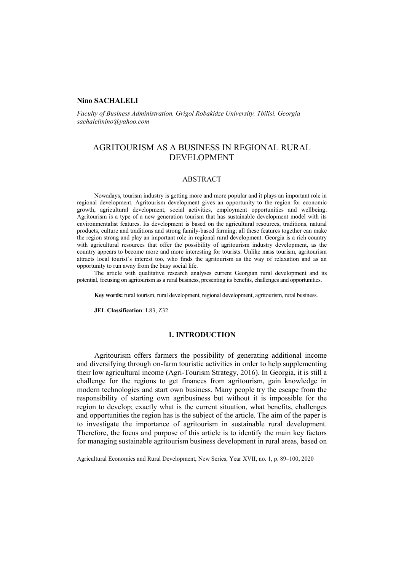## **Nino SACHALELI**

*Faculty of Business Administration, Grigol Robakidze University, Tbilisi, Georgia [sachalelinino@yahoo.com](mailto:sachalelinino@yahoo.com)*

# AGRITOURISM AS A BUSINESS IN REGIONAL RURAL DEVELOPMENT

### ABSTRACT

Nowadays, tourism industry is getting more and more popular and it plays an important role in regional development. Agritourism development gives an opportunity to the region for economic growth, agricultural development, social activities, employment opportunities and wellbeing. Agritourism is a type of a new generation tourism that has sustainable development model with its environmentalist features. Its development is based on the agricultural resources, traditions, natural products, culture and traditions and strong family-based farming; all these features together can make the region strong and play an important role in regional rural development. Georgia is a rich country with agricultural resources that offer the possibility of agritourism industry development, as the country appears to become more and more interesting for tourists. Unlike mass tourism, agritourism attracts local tourist's interest too, who finds the agritourism as the way of relaxation and as an opportunity to run away from the busy social life.

The article with qualitative research analyses current Georgian rural development and its potential, focusing on agritourism as a rural business, presenting its benefits, challenges and opportunities.

**Key words:** rural tourism, rural development, regional development, agritourism, rural business.

**JEL Classification**: L83, Z32

# **1. INTRODUCTION**

Agritourism offers farmers the possibility of generating additional income and diversifying through on-farm touristic activities in order to help supplementing their low agricultural income (Agri-Tourism Strategy, 2016). In Georgia, it is still a challenge for the regions to get finances from agritourism, gain knowledge in modern technologies and start own business. Many people try the escape from the responsibility of starting own agribusiness but without it is impossible for the region to develop; exactly what is the current situation, what benefits, challenges and opportunities the region has is the subject of the article. The aim of the paper is to investigate the importance of agritourism in sustainable rural development. Therefore, the focus and purpose of this article is to identify the main key factors for managing sustainable agritourism business development in rural areas, based on

Agricultural Economics and Rural Development, New Series, Year XVII, no. 1, p. 89–100, 2020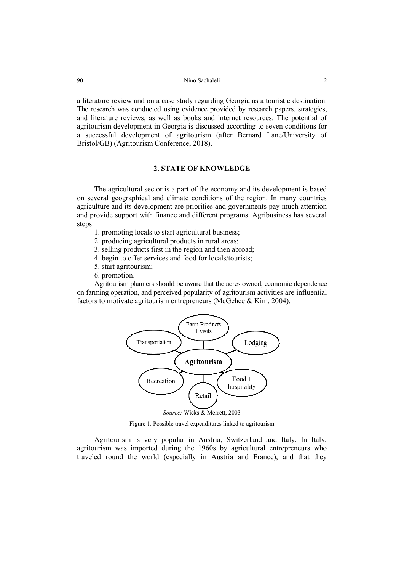a literature review and on a case study regarding Georgia as a touristic destination. The research was conducted using evidence provided by research papers, strategies, and literature reviews, as well as books and internet resources. The potential of agritourism development in Georgia is discussed according to seven conditions for a successful development of agritourism (after Bernard Lane/University of Bristol/GB) (Agritourism Conference, 2018).

# **2. STATE OF KNOWLEDGE**

The agricultural sector is a part of the economy and its development is based on several geographical and climate conditions of the region. In many countries agriculture and its development are priorities and governments pay much attention and provide support with finance and different programs. Agribusiness has several steps:

- 1. promoting locals to start agricultural business;
- 2. producing agricultural products in rural areas;
- 3. selling products first in the region and then abroad;
- 4. begin to offer services and food for locals/tourists;
- 5. start agritourism;
- 6. promotion.

Agritourism planners should be aware that the acres owned, economic dependence on farming operation, and perceived popularity of agritourism activities are influential factors to motivate agritourism entrepreneurs (McGehee & Kim, 2004).



Figure 1. Possible travel expenditures linked to agritourism

Agritourism is very popular in Austria, Switzerland and Italy. In Italy, agritourism was imported during the 1960s by agricultural entrepreneurs who traveled round the world (especially in Austria and France), and that they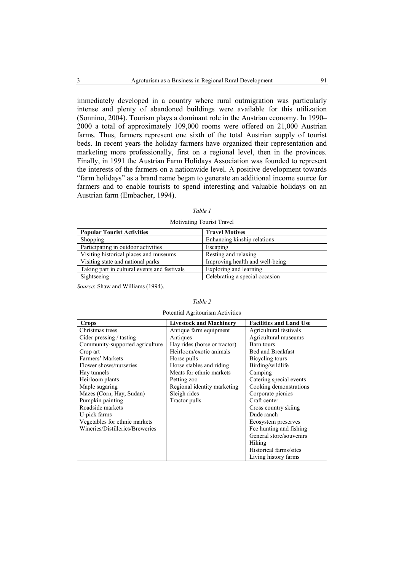immediately developed in a country where rural outmigration was particularly intense and plenty of abandoned buildings were available for this utilization (Sonnino, 2004). Tourism plays a dominant role in the Austrian economy. In 1990– 2000 a total of approximately 109,000 rooms were offered on 21,000 Austrian farms. Thus, farmers represent one sixth of the total Austrian supply of tourist beds. In recent years the holiday farmers have organized their representation and marketing more professionally, first on a regional level, then in the provinces. Finally, in 1991 the Austrian Farm Holidays Association was founded to represent the interests of the farmers on a nationwide level. A positive development towards "farm holidays" as a brand name began to generate an additional income source for farmers and to enable tourists to spend interesting and valuable holidays on an Austrian farm (Embacher, 1994).

| I<br>I<br>۰. |  |
|--------------|--|
|--------------|--|

| <b>Popular Tourist Activities</b>            | <b>Travel Motives</b>           |
|----------------------------------------------|---------------------------------|
| Shopping                                     | Enhancing kinship relations     |
| Participating in outdoor activities          | Escaping                        |
| Visiting historical places and museums       | Resting and relaxing            |
| Visiting state and national parks            | Improving health and well-being |
| Taking part in cultural events and festivals | Exploring and learning          |
| Sightseeing                                  | Celebrating a special occasion  |

### Motivating Tourist Travel

*Source*: Shaw and Williams (1994).

## *Table 2*

#### Potential Agritourism Activities

| Crops                           | <b>Livestock and Machinery</b> | <b>Facilities and Land Use</b> |
|---------------------------------|--------------------------------|--------------------------------|
| Christmas trees                 | Antique farm equipment         | Agricultural festivals         |
| Cider pressing $/$ tasting      | Antiques                       | Agricultural museums           |
| Community-supported agriculture | Hay rides (horse or tractor)   | Barn tours                     |
| Crop art                        | Heirloom/exotic animals        | <b>Bed and Breakfast</b>       |
| Farmers' Markets                | Horse pulls                    | Bicycling tours                |
| Flower shows/nurseries          | Horse stables and riding       | Birding/wildlife               |
| Hay tunnels                     | Meats for ethnic markets       | Camping                        |
| Heirloom plants                 | Petting zoo                    | Catering special events        |
| Maple sugaring                  | Regional identity marketing    | Cooking demonstrations         |
| Mazes (Corn, Hay, Sudan)        | Sleigh rides                   | Corporate picnics              |
| Pumpkin painting                | Tractor pulls                  | Craft center                   |
| Roadside markets                |                                | Cross country skiing           |
| U-pick farms                    |                                | Dude ranch                     |
| Vegetables for ethnic markets   |                                | Ecosystem preserves            |
| Wineries/Distilleries/Breweries |                                | Fee hunting and fishing        |
|                                 |                                | General store/souvenirs        |
|                                 |                                | Hiking                         |
|                                 |                                | Historical farms/sites         |
|                                 |                                | Living history farms           |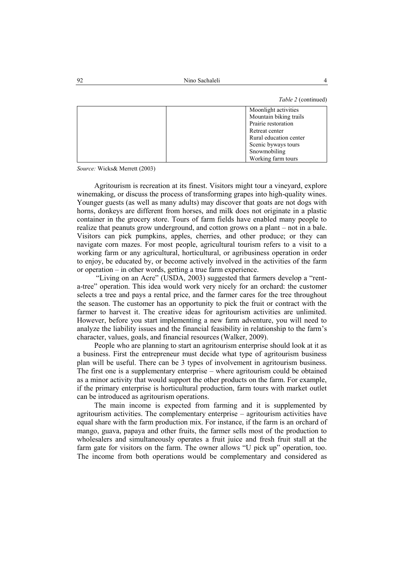*Table 2* (continued)

| Moonlight activities   |
|------------------------|
| Mountain biking trails |
| Prairie restoration    |
| Retreat center         |
| Rural education center |
| Scenic byways tours    |
| Snowmobiling           |
| Working farm tours     |

*Source:* Wicks& Merrett (2003)

Agritourism is recreation at its finest. Visitors might tour a vineyard, explore winemaking, or discuss the process of transforming grapes into high-quality wines. Younger guests (as well as many adults) may discover that goats are not dogs with horns, donkeys are different from horses, and milk does not originate in a plastic container in the grocery store. Tours of farm fields have enabled many people to realize that peanuts grow underground, and cotton grows on a plant – not in a bale. Visitors can pick pumpkins, apples, cherries, and other produce; or they can navigate corn mazes. For most people, agricultural tourism refers to a visit to a working farm or any agricultural, horticultural, or agribusiness operation in order to enjoy, be educated by, or become actively involved in the activities of the farm or operation – in other words, getting a true farm experience.

"Living on an Acre" (USDA, 2003) suggested that farmers develop a "renta-tree" operation. This idea would work very nicely for an orchard: the customer selects a tree and pays a rental price, and the farmer cares for the tree throughout the season. The customer has an opportunity to pick the fruit or contract with the farmer to harvest it. The creative ideas for agritourism activities are unlimited. However, before you start implementing a new farm adventure, you will need to analyze the liability issues and the financial feasibility in relationship to the farm's character, values, goals, and financial resources (Walker, 2009).

People who are planning to start an agritourism enterprise should look at it as a business. First the entrepreneur must decide what type of agritourism business plan will be useful. There can be 3 types of involvement in agritourism business. The first one is a supplementary enterprise – where agritourism could be obtained as a minor activity that would support the other products on the farm. For example, if the primary enterprise is horticultural production, farm tours with market outlet can be introduced as agritourism operations.

The main income is expected from farming and it is supplemented by agritourism activities. The complementary enterprise – agritourism activities have equal share with the farm production mix. For instance, if the farm is an orchard of mango, guava, papaya and other fruits, the farmer sells most of the production to wholesalers and simultaneously operates a fruit juice and fresh fruit stall at the farm gate for visitors on the farm. The owner allows "U pick up" operation, too. The income from both operations would be complementary and considered as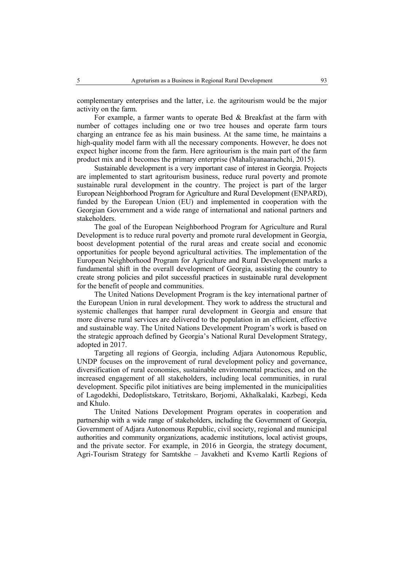complementary enterprises and the latter, i.e. the agritourism would be the major activity on the farm.

For example, a farmer wants to operate Bed & Breakfast at the farm with number of cottages including one or two tree houses and operate farm tours charging an entrance fee as his main business. At the same time, he maintains a high-quality model farm with all the necessary components. However, he does not expect higher income from the farm. Here agritourism is the main part of the farm product mix and it becomes the primary enterprise (Mahaliyanaarachchi, 2015).

Sustainable development is a very important case of interest in Georgia. Projects are implemented to start agritourism business, reduce rural poverty and promote sustainable rural development in the country. The project is part of the larger [European Neighborhood Program for Agriculture and Rural Development](http://enpard.ge/en/) (ENPARD), funded by the European Union (EU) and implemented in cooperation with the Georgian Government and a wide range of international and national partners and stakeholders.

The goal of the [European Neighborhood Program for Agriculture and Rural](http://enpard.ge/en/)  [Development](http://enpard.ge/en/) is to reduce rural poverty and promote rural development in Georgia, boost development potential of the rural areas and create social and economic opportunities for people beyond agricultural activities. The implementation of the [European Neighborhood Program for Agriculture and Rural Development](http://enpard.ge/en/) marks a fundamental shift in the overall development of Georgia, assisting the country to create strong policies and pilot successful practices in sustainable rural development for the benefit of people and communities.

The United Nations Development Program is the key international partner of the European Union in rural development. They work to address the structural and systemic challenges that hamper rural development in Georgia and ensure that more diverse rural services are delivered to the population in an efficient, effective and sustainable way. The United Nations Development Program's work is based on the strategic approach defined by Georgia's National [Rural Development Strategy,](http://enpard.ge/en/strategy-documents-2/) adopted in 2017.

Targeting all regions of Georgia, including Adjara Autonomous Republic, UNDP focuses on the improvement of rural development policy and governance, diversification of rural economies, sustainable environmental practices, and on the increased engagement of all stakeholders, including local communities, in rural development. Specific pilot initiatives are being implemented in the municipalities of Lagodekhi, Dedoplistskaro, Tetritskaro, Borjomi, Akhalkalaki, Kazbegi, Keda and Khulo.

The United Nations Development Program operates in cooperation and partnership with a wide range of stakeholders, including the Government of Georgia, Government of Adjara Autonomous Republic, civil society, regional and municipal authorities and community organizations, academic institutions, local activist groups, and the private sector. For example, in 2016 in Georgia, the strategy document, Agri-Tourism Strategy for Samtskhe – Javakheti and Kvemo Kartli Regions of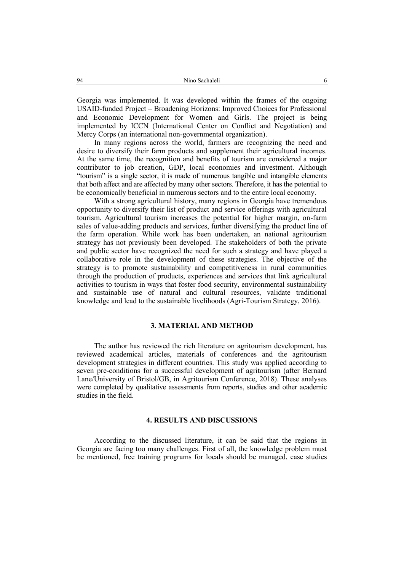Georgia was implemented. It was developed within the frames of the ongoing USAID-funded Project – Broadening Horizons: Improved Choices for Professional and Economic Development for Women and Girls. The project is being implemented by ICCN (International Center on Conflict and Negotiation) and Mercy Corps (an international non-governmental organization).

In many regions across the world, farmers are recognizing the need and desire to diversify their farm products and supplement their agricultural incomes. At the same time, the recognition and benefits of tourism are considered a major contributor to job creation, GDP, local economies and investment. Although "tourism" is a single sector, it is made of numerous tangible and intangible elements that both affect and are affected by many other sectors. Therefore, it has the potential to be economically beneficial in numerous sectors and to the entire local economy.

With a strong agricultural history, many regions in Georgia have tremendous opportunity to diversify their list of product and service offerings with agricultural tourism. Agricultural tourism increases the potential for higher margin, on-farm sales of value-adding products and services, further diversifying the product line of the farm operation. While work has been undertaken, an national agritourism strategy has not previously been developed. The stakeholders of both the private and public sector have recognized the need for such a strategy and have played a collaborative role in the development of these strategies. The objective of the strategy is to promote sustainability and competitiveness in rural communities through the production of products, experiences and services that link agricultural activities to tourism in ways that foster food security, environmental sustainability and sustainable use of natural and cultural resources, validate traditional knowledge and lead to the sustainable livelihoods (Agri-Tourism Strategy, 2016).

# **3. MATERIAL AND METHOD**

The author has reviewed the rich literature on agritourism development, has reviewed academical articles, materials of conferences and the agritourism development strategies in different countries. This study was applied according to seven pre-conditions for a successful development of agritourism (after Bernard Lane/University of Bristol/GB, in Agritourism Conference, 2018). These analyses were completed by qualitative assessments from reports, studies and other academic studies in the field.

# **4. RESULTS AND DISCUSSIONS**

According to the discussed literature, it can be said that the regions in Georgia are facing too many challenges. First of all, the knowledge problem must be mentioned, free training programs for locals should be managed, case studies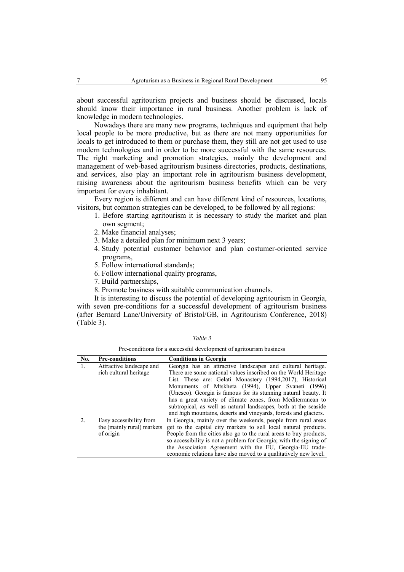about successful agritourism projects and business should be discussed, locals should know their importance in rural business. Another problem is lack of knowledge in modern technologies.

Nowadays there are many new programs, techniques and equipment that help local people to be more productive, but as there are not many opportunities for locals to get introduced to them or purchase them, they still are not get used to use modern technologies and in order to be more successful with the same resources. The right marketing and promotion strategies, mainly the development and management of web-based agritourism business directories, products, destinations, and services, also play an important role in agritourism business development, raising awareness about the agritourism business benefits which can be very important for every inhabitant.

Every region is different and can have different kind of resources, locations, visitors, but common strategies can be developed, to be followed by all regions:

- 1. Before starting agritourism it is necessary to study the market and plan own segment;
- 2. Make financial analyses;
- 3. Make a detailed plan for minimum next 3 years;
- 4. Study potential customer behavior and plan costumer-oriented service programs,
- 5. Follow international standards;
- 6. Follow international quality programs,
- 7. Build partnerships,
- 8. Promote business with suitable communication channels.

It is interesting to discuss the potential of developing agritourism in Georgia, with seven pre-conditions for a successful development of agritourism business (after Bernard Lane/University of Bristol/GB, in Agritourism Conference, 2018) (Table 3).

| anı<br>۰ |
|----------|
|----------|

Pre-conditions for a successful development of agritourism business

| No. | <b>Pre-conditions</b>      | <b>Conditions in Georgia</b>                                       |  |
|-----|----------------------------|--------------------------------------------------------------------|--|
| 1.  | Attractive landscape and   | Georgia has an attractive landscapes and cultural heritage.        |  |
|     | rich cultural heritage     | There are some national values inscribed on the World Heritage     |  |
|     |                            | List. These are: Gelati Monastery (1994,2017), Historical          |  |
|     |                            | Monuments of Mtskheta (1994), Upper Svaneti (1996)                 |  |
|     |                            | (Unesco). Georgia is famous for its stunning natural beauty. It    |  |
|     |                            | has a great variety of climate zones, from Mediterranean to        |  |
|     |                            | subtropical, as well as natural landscapes, both at the seaside    |  |
|     |                            | and high mountains, deserts and vineyards, forests and glaciers.   |  |
| 2.  | Easy accessibility from    | In Georgia, mainly over the weekends, people from rural areas      |  |
|     | the (mainly rural) markets | get to the capital city markets to sell local natural products.    |  |
|     | of origin                  | People from the cities also go to the rural areas to buy products, |  |
|     |                            | so accessibility is not a problem for Georgia; with the signing of |  |
|     |                            | the Association Agreement with the EU, Georgia-EU trade-           |  |
|     |                            | economic relations have also moved to a qualitatively new level.   |  |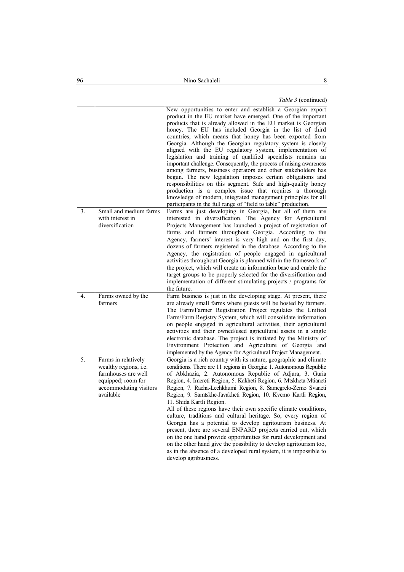# *Table 3* (continued)

|    |                                                                                                                                  | New opportunities to enter and establish a Georgian export<br>product in the EU market have emerged. One of the important<br>products that is already allowed in the EU market is Georgian<br>honey. The EU has included Georgia in the list of third<br>countries, which means that honey has been exported from<br>Georgia. Although the Georgian regulatory system is closely<br>aligned with the EU regulatory system, implementation of<br>legislation and training of qualified specialists remains an<br>important challenge. Consequently, the process of raising awareness<br>among farmers, business operators and other stakeholders has<br>begun. The new legislation imposes certain obligations and<br>responsibilities on this segment. Safe and high-quality honey<br>production is a complex issue that requires a thorough<br>knowledge of modern, integrated management principles for all<br>participants in the full range of "field to table" production. |
|----|----------------------------------------------------------------------------------------------------------------------------------|---------------------------------------------------------------------------------------------------------------------------------------------------------------------------------------------------------------------------------------------------------------------------------------------------------------------------------------------------------------------------------------------------------------------------------------------------------------------------------------------------------------------------------------------------------------------------------------------------------------------------------------------------------------------------------------------------------------------------------------------------------------------------------------------------------------------------------------------------------------------------------------------------------------------------------------------------------------------------------|
| 3. | Small and medium farms<br>with interest in<br>diversification                                                                    | Farms are just developing in Georgia, but all of them are<br>interested in diversification. The Agency for Agricultural<br>Projects Management has launched a project of registration of<br>farms and farmers throughout Georgia. According to the<br>Agency, farmers' interest is very high and on the first day,<br>dozens of farmers registered in the database. According to the<br>Agency, the registration of people engaged in agricultural<br>activities throughout Georgia is planned within the framework of<br>the project, which will create an information base and enable the<br>target groups to be properly selected for the diversification and<br>implementation of different stimulating projects / programs for<br>the future.                                                                                                                                                                                                                              |
| 4. | Farms owned by the<br>farmers                                                                                                    | Farm business is just in the developing stage. At present, there<br>are already small farms where guests will be hosted by farmers.<br>The Farm/Farmer Registration Project regulates the Unified<br>Farm/Farm Registry System, which will consolidate information<br>on people engaged in agricultural activities, their agricultural<br>activities and their owned/used agricultural assets in a single<br>electronic database. The project is initiated by the Ministry of<br>Environment Protection and Agriculture of Georgia and<br>implemented by the Agency for Agricultural Project Management.                                                                                                                                                                                                                                                                                                                                                                        |
| 5. | Farms in relatively<br>wealthy regions, i.e.<br>farmhouses are well<br>equipped; room for<br>accommodating visitors<br>available | Georgia is a rich country with its nature, geographic and climate<br>conditions. There are 11 regions in Georgia: 1. Autonomous Republic<br>of Abkhazia, 2. Autonomous Republic of Adjara, 3. Guria<br>Region, 4. Imereti Region, 5. Kakheti Region, 6. Mtskheta-Mtianeti<br>Region, 7. Racha-Lechkhumi Region, 8. Samegrelo-Zemo Svaneti<br>Region, 9. Samtskhe-Javakheti Region, 10. Kvemo Kartli Region,<br>11. Shida Kartli Region.<br>All of these regions have their own specific climate conditions,<br>culture, traditions and cultural heritage. So, every region of<br>Georgia has a potential to develop agritourism business. At<br>present, there are several ENPARD projects carried out, which<br>on the one hand provide opportunities for rural development and<br>on the other hand give the possibility to develop agritourism too,<br>as in the absence of a developed rural system, it is impossible to<br>develop agribusiness.                           |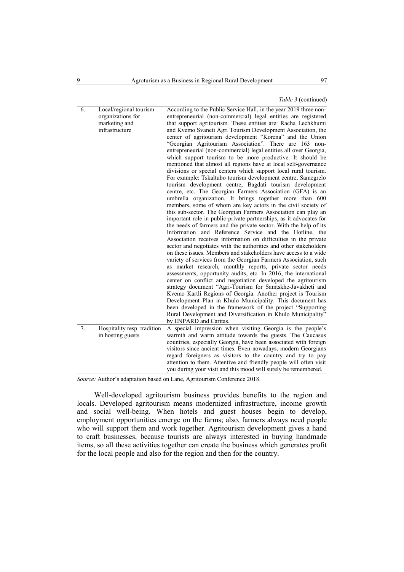## *Table 3* (continued)

| 6. | Local/regional tourism      | According to the Public Service Hall, in the year 2019 three non-                                                                    |
|----|-----------------------------|--------------------------------------------------------------------------------------------------------------------------------------|
|    | organizations for           | entrepreneurial (non-commercial) legal entities are registered                                                                       |
|    | marketing and               | that support agritourism. These entities are: Racha Lechkhumi                                                                        |
|    | infrastructure              | and Kvemo Svaneti Agri Tourism Development Association, the                                                                          |
|    |                             | center of agritourism development "Korena" and the Union                                                                             |
|    |                             | "Georgian Agritourism Association". There are 163 non-                                                                               |
|    |                             | entrepreneurial (non-commercial) legal entities all over Georgia,                                                                    |
|    |                             | which support tourism to be more productive. It should be                                                                            |
|    |                             | mentioned that almost all regions have at local self-governance                                                                      |
|    |                             | divisions or special centers which support local rural tourism.                                                                      |
|    |                             | For example: Tskaltubo tourism development centre, Samegrelo                                                                         |
|    |                             | tourism development centre, Bagdati tourism development                                                                              |
|    |                             | centre, etc. The Georgian Farmers Association (GFA) is an                                                                            |
|    |                             | umbrella organization. It brings together more than 600                                                                              |
|    |                             | members, some of whom are key actors in the civil society of                                                                         |
|    |                             | this sub-sector. The Georgian Farmers Association can play an                                                                        |
|    |                             | important role in public-private partnerships, as it advocates for                                                                   |
|    |                             | the needs of farmers and the private sector. With the help of its                                                                    |
|    |                             | Information and Reference Service and the Hotline, the                                                                               |
|    |                             | Association receives information on difficulties in the private                                                                      |
|    |                             | sector and negotiates with the authorities and other stakeholders<br>on these issues. Members and stakeholders have access to a wide |
|    |                             |                                                                                                                                      |
|    |                             | variety of services from the Georgian Farmers Association, such                                                                      |
|    |                             | as market research, monthly reports, private sector needs<br>assessments, opportunity audits, etc. In 2016, the international        |
|    |                             | center on conflict and negotiation developed the agritourism                                                                         |
|    |                             | strategy document "Agri-Tourism for Samtskhe-Javakheti and                                                                           |
|    |                             | Kvemo Kartli Regions of Georgia. Another project is Tourism                                                                          |
|    |                             | Development Plan in Khulo Municipality. This document has                                                                            |
|    |                             | been developed in the framework of the project "Supporting                                                                           |
|    |                             | Rural Development and Diversification in Khulo Municipality"                                                                         |
|    |                             | by ENPARD and Caritas.                                                                                                               |
| 7. | Hospitality resp. tradition | A special impression when visiting Georgia is the people's                                                                           |
|    | in hosting guests           | warmth and warm attitude towards the guests. The Caucasus                                                                            |
|    |                             | countries, especially Georgia, have been associated with foreign                                                                     |
|    |                             | visitors since ancient times. Even nowadays, modern Georgians                                                                        |
|    |                             | regard foreigners as visitors to the country and try to pay                                                                          |
|    |                             | attention to them. Attentive and friendly people will often visit                                                                    |
|    |                             | you during your visit and this mood will surely be remembered.                                                                       |
|    |                             |                                                                                                                                      |

*Source:* Author's adaptation based on Lane, Agritourism Conference 2018.

Well-developed agritourism business provides benefits to the region and locals. Developed agritourism means modernized infrastructure, income growth and social well-being. When hotels and guest houses begin to develop, employment opportunities emerge on the farms; also, farmers always need people who will support them and work together. Agritourism development gives a hand to craft businesses, because tourists are always interested in buying handmade items, so all these activities together can create the business which generates profit for the local people and also for the region and then for the country.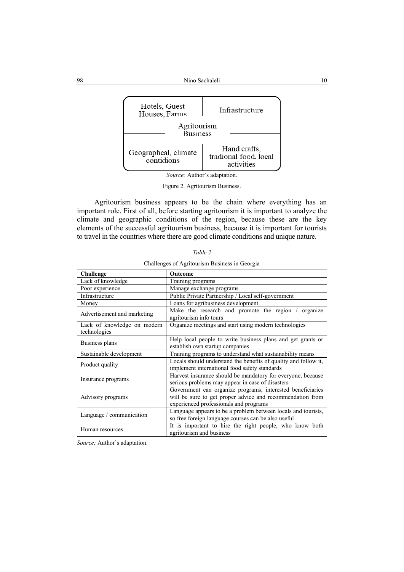

Figure 2. Agritourism Business.

Agritourism business appears to be the chain where everything has an important role. First of all, before starting agritourism it is important to analyze the climate and geographic conditions of the region, because these are the key elements of the successful agritourism business, because it is important for tourists to travel in the countries where there are good climate conditions and unique nature.

| I able |  |  |
|--------|--|--|
|        |  |  |

| Challenge                                   | Outcome                                                                                                                                                           |  |
|---------------------------------------------|-------------------------------------------------------------------------------------------------------------------------------------------------------------------|--|
| Lack of knowledge                           | Training programs                                                                                                                                                 |  |
| Poor experience                             | Manage exchange programs                                                                                                                                          |  |
| Infrastructure                              | Public Private Partnership / Local self-government                                                                                                                |  |
| Money                                       | Loans for agribusiness development                                                                                                                                |  |
| Advertisement and marketing                 | Make the research and promote the region / organize<br>agritourism info tours                                                                                     |  |
| Lack of knowledge on modern<br>technologies | Organize meetings and start using modern technologies                                                                                                             |  |
| Business plans                              | Help local people to write business plans and get grants or<br>establish own startup companies                                                                    |  |
| Sustainable development                     | Training programs to understand what sustainability means                                                                                                         |  |
| Product quality                             | Locals should understand the benefits of quality and follow it,<br>implement international food safety standards                                                  |  |
| Insurance programs                          | Harvest insurance should be mandatory for everyone, because<br>serious problems may appear in case of disasters                                                   |  |
| Advisory programs                           | Government can organize programs; interested beneficiaries<br>will be sure to get proper advice and recommendation from<br>experienced professionals and programs |  |
| Language / communication                    | Language appears to be a problem between locals and tourists,<br>so free foreign language courses can be also useful                                              |  |
| Human resources                             | It is important to hire the right people, who know both<br>agritourism and business                                                                               |  |

Challenges of Agritourism Business in Georgia

*Source:* Author's adaptation.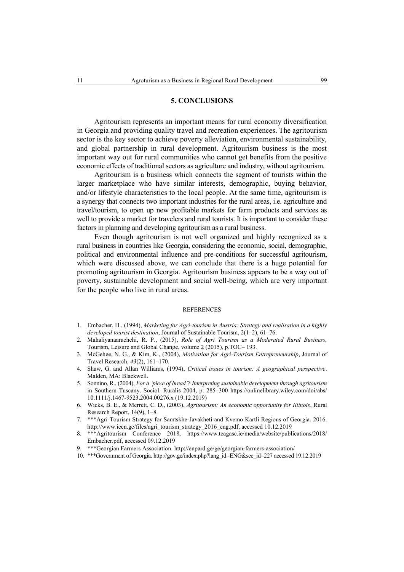## **5. CONCLUSIONS**

Agritourism represents an important means for rural economy diversification in Georgia and providing quality travel and recreation experiences. The agritourism sector is the key sector to achieve poverty alleviation, environmental sustainability, and global partnership in rural development. Agritourism business is the most important way out for rural communities who cannot get benefits from the positive economic effects of traditional sectors as agriculture and industry, without agritourism.

Agritourism is a business which connects the segment of tourists within the larger marketplace who have similar interests, demographic, buying behavior, and/or lifestyle characteristics to the local people. At the same time, agritourism is a synergy that connects two important industries for the rural areas, i.e. agriculture and travel/tourism, to open up new profitable markets for farm products and services as well to provide a market for travelers and rural tourists. It is important to consider these factors in planning and developing agritourism as a rural business.

Even though agritourism is not well organized and highly recognized as a rural business in countries like Georgia, considering the economic, social, demographic, political and environmental influence and pre-conditions for successful agritourism, which were discussed above, we can conclude that there is a huge potential for promoting agritourism in Georgia. Agritourism business appears to be a way out of poverty, sustainable development and social well-being, which are very important for the people who live in rural areas.

# **REFERENCES**

- 1. Embacher, H., (1994), *Marketing for Agri-tourism in Austria: Strategy and realisation in a highly developed tourist destination*, Journal of Sustainable Tourism, 2(1–2), 61–76.
- 2. Mahaliyanaarachchi, R. P., (2015), *Role of Agri Tourism as a Moderated Rural Business,* Tourism, Leisure and Global Change, volume 2 (2015), p.TOC– 193.
- 3. McGehee, N. G., & Kim, K., (2004), *Motivation for Agri-Tourism Entrepreneurship*, Journal of Travel Research, *43*(2), 161–170.
- 4. Shaw, G. and Allan Williams, (1994), *Critical issues in tourism: A geographical perspective*. Malden, MA: Blackwell.
- 5. Sonnino, R., (2004), *For a 'piece of bread'? Interpreting sustainable development through agritourism* in Southern Tuscany. Sociol. Ruralis 2004, p. 285–300 [https://onlinelibrary.wiley.com/doi/abs/](https://onlinelibrary.wiley.com/doi/abs/10.1111/j.1467-9523.2004.00276.x) [10.1111/j.1467-9523.2004.00276.x](https://onlinelibrary.wiley.com/doi/abs/10.1111/j.1467-9523.2004.00276.x) (19.12.2019)
- 6. Wicks, B. E., & Merrett, C. D., (2003), *Agritourism: An economic opportunity for Illinois*, Rural Research Report, 14(9), 1–8.
- 7. \*\*\*Agri-Tourism Strategy for Samtskhe-Javakheti and Kvemo Kartli Regions of Georgia. 2016. [http://www.iccn.ge/files/agri\\_tourism\\_strategy\\_2016\\_eng.pdf,](http://www.iccn.ge/files/agri_tourism_strategy_2016_eng.pdf) accessed 10.12.2019
- 8. \*\*\*Agritourism Conference 2018, [https://www.teagasc.ie/media/website/publications/2018/](https://www.teagasc.ie/media/website/publications/2018/Embacher.pdf) [Embacher.pdf,](https://www.teagasc.ie/media/website/publications/2018/Embacher.pdf) accessed 09.12.2019
- 9. \*\*\*Georgian Farmers Association.<http://enpard.ge/ge/georgian-farmers-association/>
- 10. \*\*\*Government of Georgia[. http://gov.ge/index.php?lang\\_id=ENG&sec\\_id=227](http://gov.ge/index.php?lang_id=ENG&sec_id=227) accessed 19.12.2019